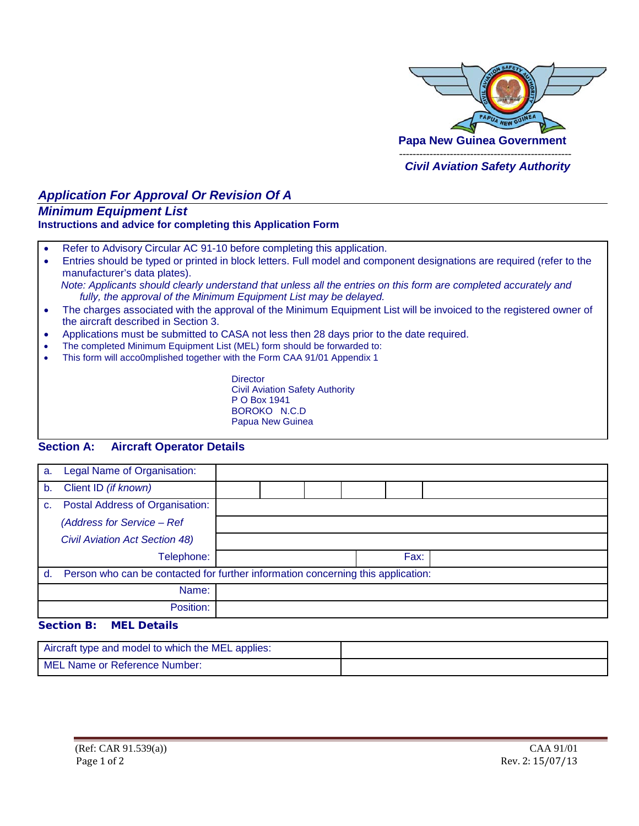

# *Application For Approval Or Revision Of A*

## *Minimum Equipment List*

#### **Instructions and advice for completing this Application Form**

- Refer to Advisory Circular AC 91-10 before completing this application.
- Entries should be typed or printed in block letters. Full model and component designations are required (refer to the manufacturer's data plates).  *Note: Applicants should clearly understand that unless all the entries on this form are completed accurately and*
- *fully, the approval of the Minimum Equipment List may be delayed.* • The charges associated with the approval of the Minimum Equipment List will be invoiced to the registered owner of the aircraft described in Section 3.
- Applications must be submitted to CASA not less then 28 days prior to the date required.
- The completed Minimum Equipment List (MEL) form should be forwarded to:
- This form will acco0mplished together with the Form CAA 91/01 Appendix 1

**Director** Civil Aviation Safety Authority P O Box 1941 BOROKO N.C.D Papua New Guinea

### **Section A: Aircraft Operator Details**

| a. | Legal Name of Organisation:                                                      |  |  |  |  |      |  |
|----|----------------------------------------------------------------------------------|--|--|--|--|------|--|
| b. | Client ID (if known)                                                             |  |  |  |  |      |  |
| C. | Postal Address of Organisation:                                                  |  |  |  |  |      |  |
|    | (Address for Service - Ref                                                       |  |  |  |  |      |  |
|    | <b>Civil Aviation Act Section 48)</b>                                            |  |  |  |  |      |  |
|    | Telephone:                                                                       |  |  |  |  | Fax: |  |
| d. | Person who can be contacted for further information concerning this application: |  |  |  |  |      |  |
|    | Name:                                                                            |  |  |  |  |      |  |
|    | Position:                                                                        |  |  |  |  |      |  |
|    | Container Di<br>. <i>.</i><br>----<br>-                                          |  |  |  |  |      |  |

#### **Section B: MEL Details**

| Aircraft type and model to which the MEL applies: |  |
|---------------------------------------------------|--|
| MEL Name or Reference Number:                     |  |